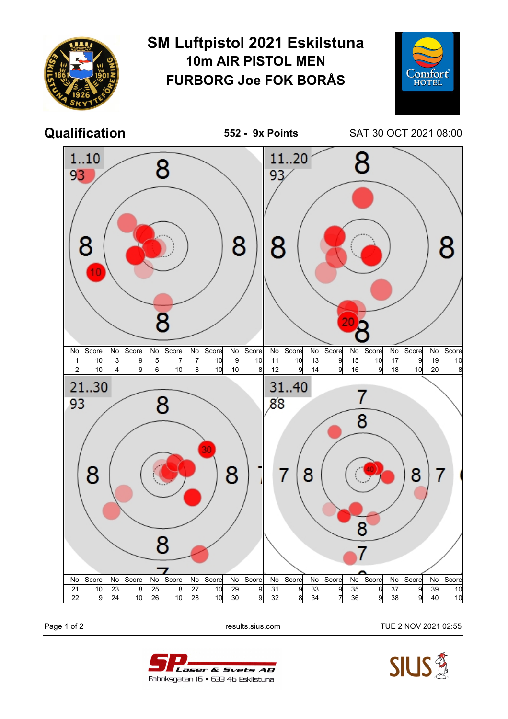

Page 1 of 2 results.sius.com TUE 2 NOV 2021 02:55